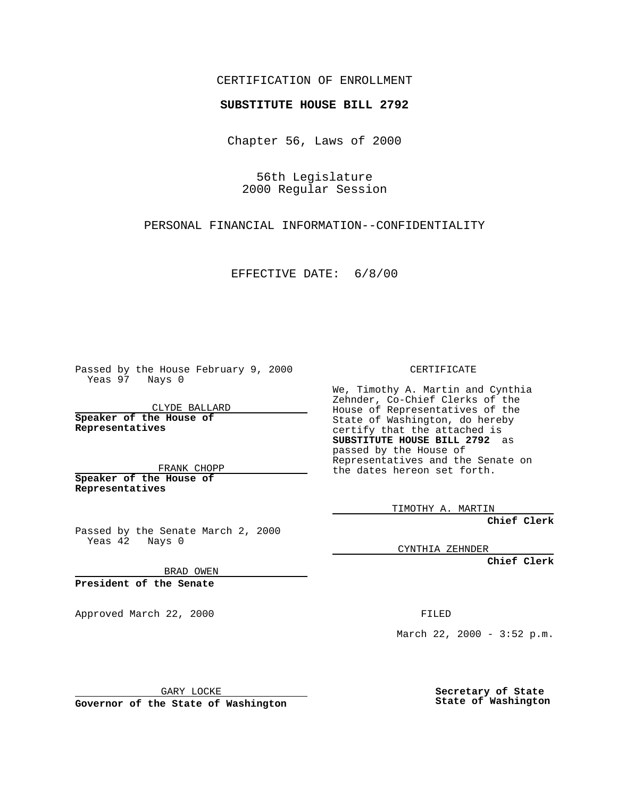## CERTIFICATION OF ENROLLMENT

## **SUBSTITUTE HOUSE BILL 2792**

Chapter 56, Laws of 2000

56th Legislature 2000 Regular Session

PERSONAL FINANCIAL INFORMATION--CONFIDENTIALITY

EFFECTIVE DATE: 6/8/00

Passed by the House February 9, 2000 Yeas 97 Nays 0

CLYDE BALLARD **Speaker of the House of Representatives**

FRANK CHOPP **Speaker of the House of**

**Representatives**

Passed by the Senate March 2, 2000 Yeas 42 Nays 0

BRAD OWEN

**President of the Senate**

Approved March 22, 2000 FILED

CERTIFICATE

We, Timothy A. Martin and Cynthia Zehnder, Co-Chief Clerks of the House of Representatives of the State of Washington, do hereby certify that the attached is **SUBSTITUTE HOUSE BILL 2792** as passed by the House of Representatives and the Senate on the dates hereon set forth.

TIMOTHY A. MARTIN

**Chief Clerk**

CYNTHIA ZEHNDER

**Chief Clerk**

March 22, 2000 - 3:52 p.m.

GARY LOCKE

**Governor of the State of Washington**

**Secretary of State State of Washington**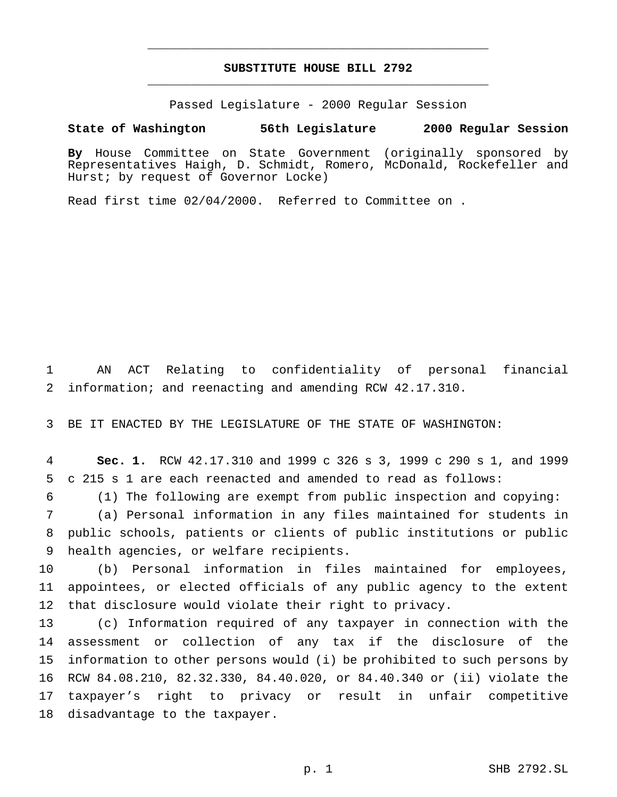## **SUBSTITUTE HOUSE BILL 2792** \_\_\_\_\_\_\_\_\_\_\_\_\_\_\_\_\_\_\_\_\_\_\_\_\_\_\_\_\_\_\_\_\_\_\_\_\_\_\_\_\_\_\_\_\_\_\_

\_\_\_\_\_\_\_\_\_\_\_\_\_\_\_\_\_\_\_\_\_\_\_\_\_\_\_\_\_\_\_\_\_\_\_\_\_\_\_\_\_\_\_\_\_\_\_

Passed Legislature - 2000 Regular Session

**State of Washington 56th Legislature 2000 Regular Session**

**By** House Committee on State Government (originally sponsored by Representatives Haigh, D. Schmidt, Romero, McDonald, Rockefeller and Hurst; by request of Governor Locke)

Read first time 02/04/2000. Referred to Committee on .

 AN ACT Relating to confidentiality of personal financial information; and reenacting and amending RCW 42.17.310.

BE IT ENACTED BY THE LEGISLATURE OF THE STATE OF WASHINGTON:

 **Sec. 1.** RCW 42.17.310 and 1999 c 326 s 3, 1999 c 290 s 1, and 1999 c 215 s 1 are each reenacted and amended to read as follows:

(1) The following are exempt from public inspection and copying:

 (a) Personal information in any files maintained for students in public schools, patients or clients of public institutions or public health agencies, or welfare recipients.

 (b) Personal information in files maintained for employees, appointees, or elected officials of any public agency to the extent that disclosure would violate their right to privacy.

 (c) Information required of any taxpayer in connection with the assessment or collection of any tax if the disclosure of the information to other persons would (i) be prohibited to such persons by RCW 84.08.210, 82.32.330, 84.40.020, or 84.40.340 or (ii) violate the taxpayer's right to privacy or result in unfair competitive disadvantage to the taxpayer.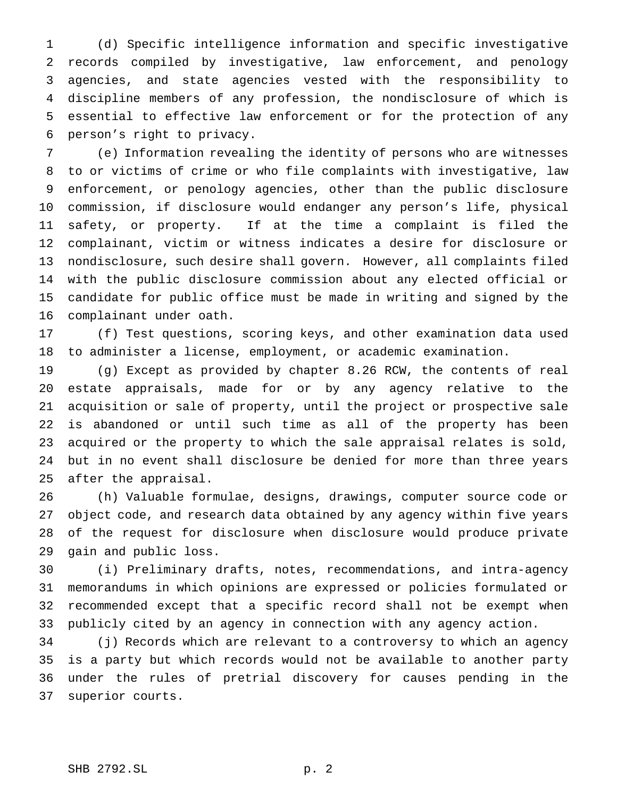(d) Specific intelligence information and specific investigative records compiled by investigative, law enforcement, and penology agencies, and state agencies vested with the responsibility to discipline members of any profession, the nondisclosure of which is essential to effective law enforcement or for the protection of any person's right to privacy.

 (e) Information revealing the identity of persons who are witnesses to or victims of crime or who file complaints with investigative, law enforcement, or penology agencies, other than the public disclosure commission, if disclosure would endanger any person's life, physical safety, or property. If at the time a complaint is filed the complainant, victim or witness indicates a desire for disclosure or nondisclosure, such desire shall govern. However, all complaints filed with the public disclosure commission about any elected official or candidate for public office must be made in writing and signed by the complainant under oath.

 (f) Test questions, scoring keys, and other examination data used to administer a license, employment, or academic examination.

 (g) Except as provided by chapter 8.26 RCW, the contents of real estate appraisals, made for or by any agency relative to the acquisition or sale of property, until the project or prospective sale is abandoned or until such time as all of the property has been acquired or the property to which the sale appraisal relates is sold, but in no event shall disclosure be denied for more than three years after the appraisal.

 (h) Valuable formulae, designs, drawings, computer source code or object code, and research data obtained by any agency within five years of the request for disclosure when disclosure would produce private gain and public loss.

 (i) Preliminary drafts, notes, recommendations, and intra-agency memorandums in which opinions are expressed or policies formulated or recommended except that a specific record shall not be exempt when publicly cited by an agency in connection with any agency action.

 (j) Records which are relevant to a controversy to which an agency is a party but which records would not be available to another party under the rules of pretrial discovery for causes pending in the superior courts.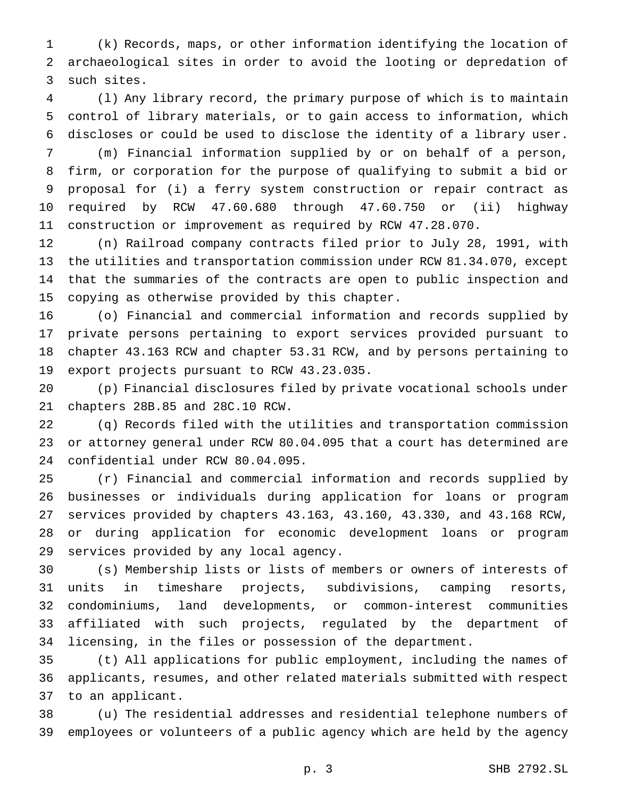(k) Records, maps, or other information identifying the location of archaeological sites in order to avoid the looting or depredation of such sites.

 (l) Any library record, the primary purpose of which is to maintain control of library materials, or to gain access to information, which discloses or could be used to disclose the identity of a library user.

 (m) Financial information supplied by or on behalf of a person, firm, or corporation for the purpose of qualifying to submit a bid or proposal for (i) a ferry system construction or repair contract as required by RCW 47.60.680 through 47.60.750 or (ii) highway construction or improvement as required by RCW 47.28.070.

 (n) Railroad company contracts filed prior to July 28, 1991, with the utilities and transportation commission under RCW 81.34.070, except that the summaries of the contracts are open to public inspection and copying as otherwise provided by this chapter.

 (o) Financial and commercial information and records supplied by private persons pertaining to export services provided pursuant to chapter 43.163 RCW and chapter 53.31 RCW, and by persons pertaining to export projects pursuant to RCW 43.23.035.

 (p) Financial disclosures filed by private vocational schools under chapters 28B.85 and 28C.10 RCW.

 (q) Records filed with the utilities and transportation commission or attorney general under RCW 80.04.095 that a court has determined are confidential under RCW 80.04.095.

 (r) Financial and commercial information and records supplied by businesses or individuals during application for loans or program services provided by chapters 43.163, 43.160, 43.330, and 43.168 RCW, or during application for economic development loans or program services provided by any local agency.

 (s) Membership lists or lists of members or owners of interests of units in timeshare projects, subdivisions, camping resorts, condominiums, land developments, or common-interest communities affiliated with such projects, regulated by the department of licensing, in the files or possession of the department.

 (t) All applications for public employment, including the names of applicants, resumes, and other related materials submitted with respect to an applicant.

 (u) The residential addresses and residential telephone numbers of employees or volunteers of a public agency which are held by the agency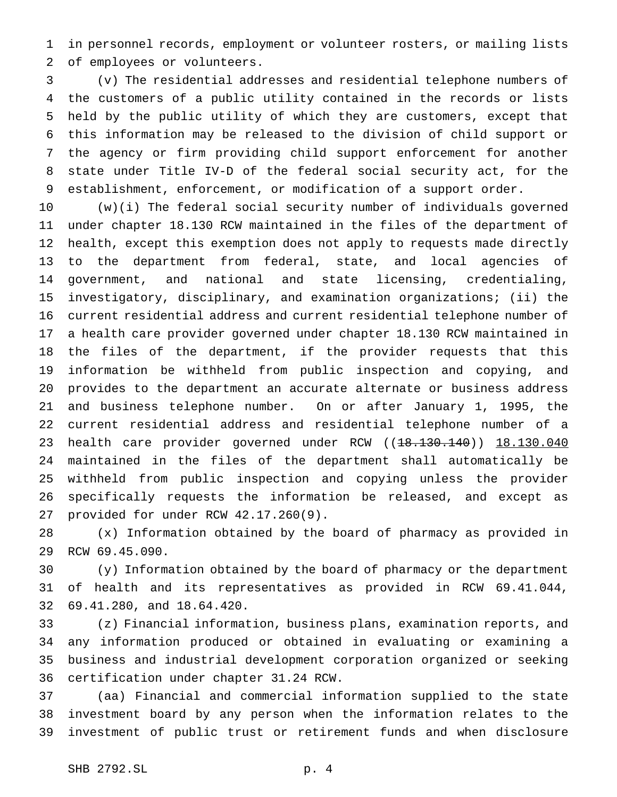in personnel records, employment or volunteer rosters, or mailing lists of employees or volunteers.

 (v) The residential addresses and residential telephone numbers of the customers of a public utility contained in the records or lists held by the public utility of which they are customers, except that this information may be released to the division of child support or the agency or firm providing child support enforcement for another state under Title IV-D of the federal social security act, for the establishment, enforcement, or modification of a support order.

 (w)(i) The federal social security number of individuals governed under chapter 18.130 RCW maintained in the files of the department of health, except this exemption does not apply to requests made directly to the department from federal, state, and local agencies of government, and national and state licensing, credentialing, investigatory, disciplinary, and examination organizations; (ii) the current residential address and current residential telephone number of a health care provider governed under chapter 18.130 RCW maintained in the files of the department, if the provider requests that this information be withheld from public inspection and copying, and provides to the department an accurate alternate or business address and business telephone number. On or after January 1, 1995, the current residential address and residential telephone number of a 23 health care provider governed under RCW ((18.130.140)) 18.130.040 maintained in the files of the department shall automatically be withheld from public inspection and copying unless the provider specifically requests the information be released, and except as provided for under RCW 42.17.260(9).

 (x) Information obtained by the board of pharmacy as provided in RCW 69.45.090.

 (y) Information obtained by the board of pharmacy or the department of health and its representatives as provided in RCW 69.41.044, 69.41.280, and 18.64.420.

 (z) Financial information, business plans, examination reports, and any information produced or obtained in evaluating or examining a business and industrial development corporation organized or seeking certification under chapter 31.24 RCW.

 (aa) Financial and commercial information supplied to the state investment board by any person when the information relates to the investment of public trust or retirement funds and when disclosure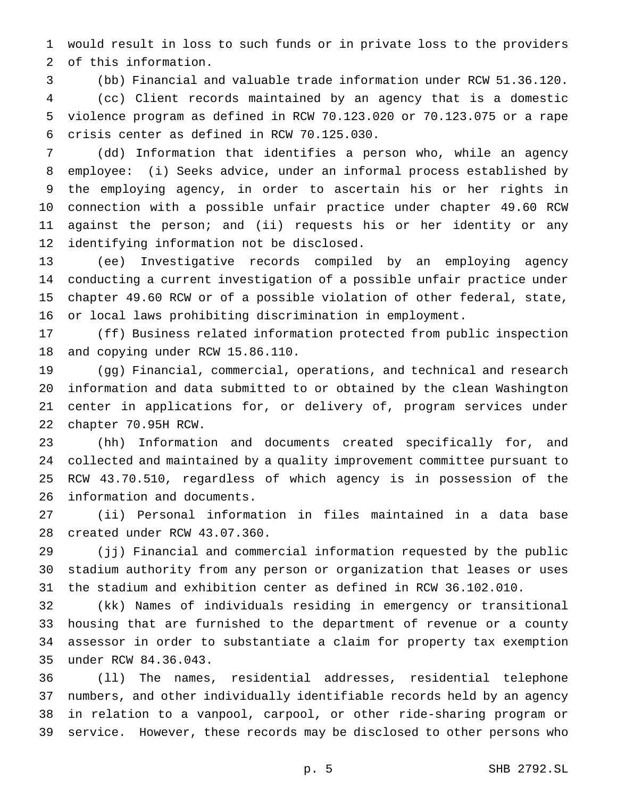would result in loss to such funds or in private loss to the providers of this information.

 (bb) Financial and valuable trade information under RCW 51.36.120. (cc) Client records maintained by an agency that is a domestic violence program as defined in RCW 70.123.020 or 70.123.075 or a rape crisis center as defined in RCW 70.125.030.

 (dd) Information that identifies a person who, while an agency employee: (i) Seeks advice, under an informal process established by the employing agency, in order to ascertain his or her rights in connection with a possible unfair practice under chapter 49.60 RCW against the person; and (ii) requests his or her identity or any identifying information not be disclosed.

 (ee) Investigative records compiled by an employing agency conducting a current investigation of a possible unfair practice under chapter 49.60 RCW or of a possible violation of other federal, state, or local laws prohibiting discrimination in employment.

 (ff) Business related information protected from public inspection and copying under RCW 15.86.110.

 (gg) Financial, commercial, operations, and technical and research information and data submitted to or obtained by the clean Washington center in applications for, or delivery of, program services under chapter 70.95H RCW.

 (hh) Information and documents created specifically for, and collected and maintained by a quality improvement committee pursuant to RCW 43.70.510, regardless of which agency is in possession of the information and documents.

 (ii) Personal information in files maintained in a data base created under RCW 43.07.360.

 (jj) Financial and commercial information requested by the public stadium authority from any person or organization that leases or uses the stadium and exhibition center as defined in RCW 36.102.010.

 (kk) Names of individuals residing in emergency or transitional housing that are furnished to the department of revenue or a county assessor in order to substantiate a claim for property tax exemption under RCW 84.36.043.

 (ll) The names, residential addresses, residential telephone numbers, and other individually identifiable records held by an agency in relation to a vanpool, carpool, or other ride-sharing program or service. However, these records may be disclosed to other persons who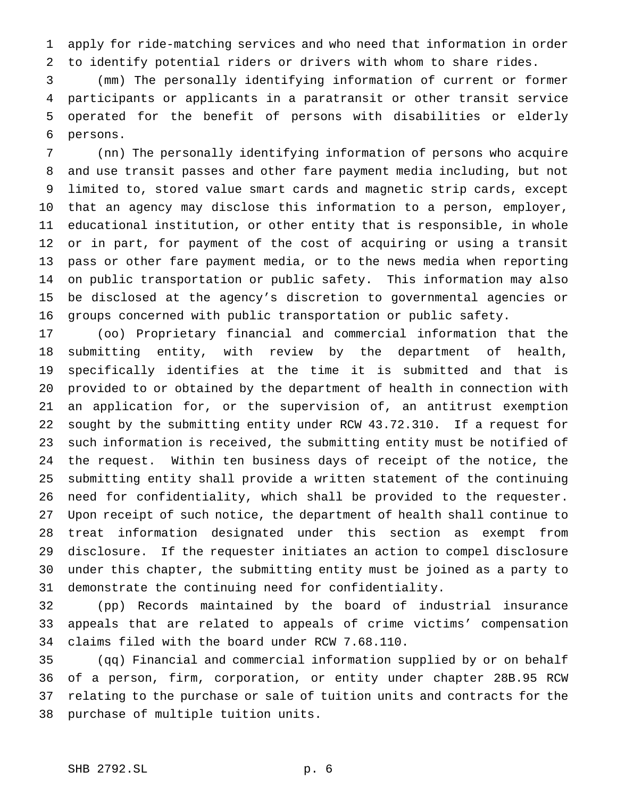apply for ride-matching services and who need that information in order to identify potential riders or drivers with whom to share rides.

 (mm) The personally identifying information of current or former participants or applicants in a paratransit or other transit service operated for the benefit of persons with disabilities or elderly persons.

 (nn) The personally identifying information of persons who acquire and use transit passes and other fare payment media including, but not limited to, stored value smart cards and magnetic strip cards, except that an agency may disclose this information to a person, employer, educational institution, or other entity that is responsible, in whole or in part, for payment of the cost of acquiring or using a transit pass or other fare payment media, or to the news media when reporting on public transportation or public safety. This information may also be disclosed at the agency's discretion to governmental agencies or groups concerned with public transportation or public safety.

 (oo) Proprietary financial and commercial information that the submitting entity, with review by the department of health, specifically identifies at the time it is submitted and that is provided to or obtained by the department of health in connection with an application for, or the supervision of, an antitrust exemption sought by the submitting entity under RCW 43.72.310. If a request for such information is received, the submitting entity must be notified of the request. Within ten business days of receipt of the notice, the submitting entity shall provide a written statement of the continuing need for confidentiality, which shall be provided to the requester. Upon receipt of such notice, the department of health shall continue to treat information designated under this section as exempt from disclosure. If the requester initiates an action to compel disclosure under this chapter, the submitting entity must be joined as a party to demonstrate the continuing need for confidentiality.

 (pp) Records maintained by the board of industrial insurance appeals that are related to appeals of crime victims' compensation claims filed with the board under RCW 7.68.110.

 (qq) Financial and commercial information supplied by or on behalf of a person, firm, corporation, or entity under chapter 28B.95 RCW relating to the purchase or sale of tuition units and contracts for the purchase of multiple tuition units.